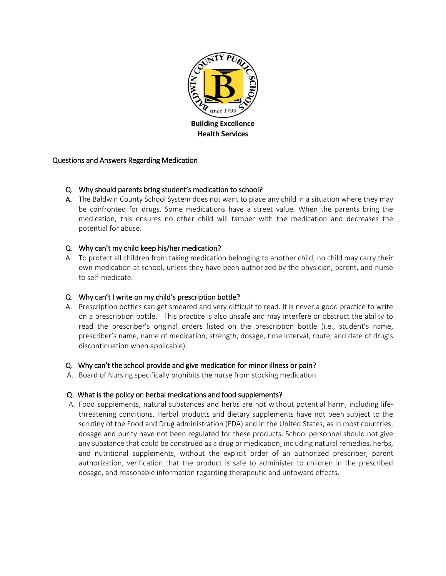

#### Questions and Answers Regarding Medication

#### Q. Why should parents bring student's medication to school?

A. The Baldwin County School System does not want to place any child in a situation where they may be confronted for drugs. Some medications have a street value. When the parents bring the medication, this ensures no other child will tamper with the medication and decreases the potential for abuse.

# Q. Why can't my child keep his/her medication?

A. To protect all children from taking medication belonging to another child, no child may carry their own medication at school, unless they have been authorized by the physician, parent, and nurse to self-medicate.

# Q. Why can't I write on my child's prescription bottle?

A. Prescription bottles can get smeared and very difficult to read. It is never a good practice to write on a prescription bottle. This practice is also unsafe and may interfere or obstruct the ability to read the prescriber's original orders listed on the prescription bottle (i.e., student's name, prescriber's name, name of medication, strength, dosage, time interval, route, and date of drug's discontinuation when applicable).

# Q. Why can't the school provide and give medication for minor illness or pain?

A. Board of Nursing specifically prohibits the nurse from stocking medication.

# Q. What is the policy on herbal medications and food supplements?

 A. Food supplements, natural substances and herbs are not without potential harm, including lifethreatening conditions. Herbal products and dietary supplements have not been subject to the scrutiny of the Food and Drug administration (FDA) and in the United States, as in most countries, dosage and purity have not been regulated for these products. School personnel should not give any substance that could be construed as a drug or medication, including natural remedies, herbs, and nutritional supplements, without the explicit order of an authorized prescriber, parent authorization, verification that the product is safe to administer to children in the prescribed dosage, and reasonable information regarding therapeutic and untoward effects.